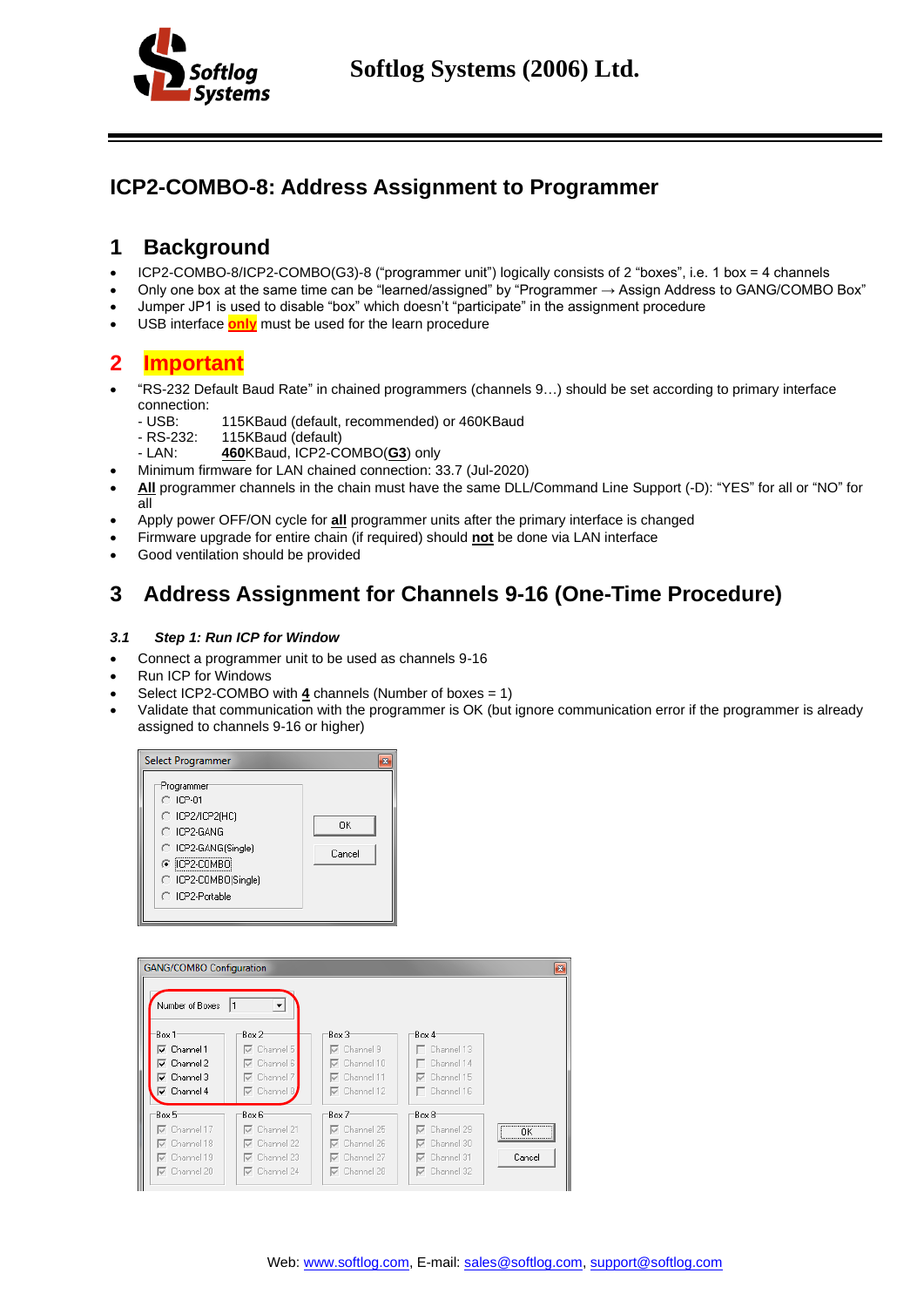

## **ICP2-COMBO-8: Address Assignment to Programmer**

## **1 Background**

- ICP2-COMBO-8/ICP2-COMBO(G3)-8 ("programmer unit") logically consists of 2 "boxes", i.e. 1 box = 4 channels
- Only one box at the same time can be "learned/assigned" by "Programmer → Assign Address to GANG/COMBO Box"
- Jumper JP1 is used to disable "box" which doesn't "participate" in the assignment procedure
- USB interface **only** must be used for the learn procedure

### **2 Important**

- "RS-232 Default Baud Rate" in chained programmers (channels 9…) should be set according to primary interface connection:
	- USB: 115KBaud (default, recommended) or 460KBaud<br>- RS-232: 115KBaud (default)
	- RS-232: 115KBaud (default)<br>- LAN: 460KBaud. ICP2-C
	- 460KBaud, ICP2-COMBO(G3) only
- Minimum firmware for LAN chained connection: 33.7 (Jul-2020)
- **All** programmer channels in the chain must have the same DLL/Command Line Support (-D): "YES" for all or "NO" for all
- Apply power OFF/ON cycle for **all** programmer units after the primary interface is changed
- Firmware upgrade for entire chain (if required) should **not** be done via LAN interface
- <span id="page-0-0"></span>Good ventilation should be provided

# **3 Address Assignment for Channels 9-16 (One-Time Procedure)**

#### *3.1 Step 1: Run ICP for Window*

- Connect a programmer unit to be used as channels 9-16
- Run ICP for Windows
- Select ICP2-COMBO with **4** channels (Number of boxes = 1)
- Validate that communication with the programmer is OK (but ignore communication error if the programmer is already assigned to channels 9-16 or higher)



| <b>GANG/COMBO Configuration</b><br>Number of Boxes                                                                                                        | 1<br>▼                                                                                            |                                                                                                   |                                                                                                   | $\mathbf{z}$                                          |
|-----------------------------------------------------------------------------------------------------------------------------------------------------------|---------------------------------------------------------------------------------------------------|---------------------------------------------------------------------------------------------------|---------------------------------------------------------------------------------------------------|-------------------------------------------------------|
| Box 1<br>$\overline{\mathsf{v}}$ Channel 1<br>$\overline{\mathsf{v}}$ Channel 2<br>$\overline{\mathsf{v}}$ Channel 3<br>$\overline{\mathsf{v}}$ Channel 4 | Box 2<br>$\nabla$ Channel 5<br>$\nabla$ Channel 6<br>$\nabla$ Channel 7<br>$\nabla$ Channel 8     | Box 3<br>$\nabla$ Channel 9<br>$\nabla$ Channel 10<br>$\nabla$ Channel 11<br>$\nabla$ Channel 12  | Box 4<br>$\Box$ Channel 13<br>$\Box$ Channel 14<br>$\nabla$ Channel 15<br>$\Box$ Channel 16       |                                                       |
| Box 5<br>$\nabla$ Channel 17<br>$\nabla$ Channel 18<br>$\nabla$ Channel 19<br>$\nabla$ Channel 20                                                         | Box 6<br>$\nabla$ Channel 21<br>$\nabla$ Channel 22<br>$\nabla$ Channel 23<br>$\nabla$ Channel 24 | Box 7<br>$\nabla$ Channel 25<br>$\nabla$ Channel 26<br>$\nabla$ Channel 27<br>$\nabla$ Channel 28 | Box 8<br>$\nabla$ Channel 29<br>$\nabla$ Channel 30<br>$\nabla$ Channel 31<br>$\nabla$ Channel 32 | <br>ΠK<br>,,,,,,,,,,,,,,,,,,,,,,,,,,,,,,,,,<br>Cancel |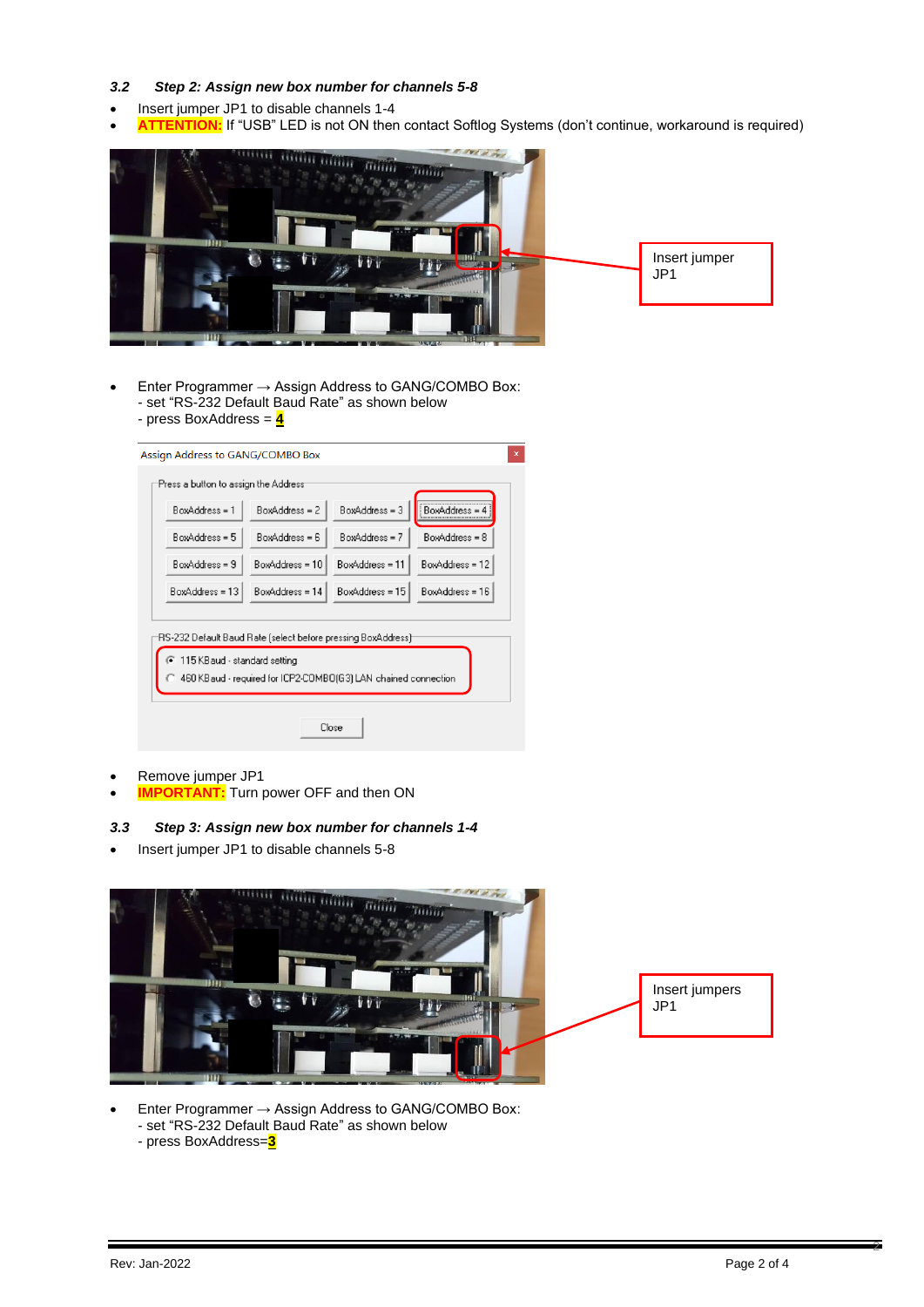#### *3.2 Step 2: Assign new box number for channels 5-8*

- Insert jumper JP1 to disable channels 1-4
- ATTENTION: If "USB" LED is not ON then contact Softlog Systems (don't continue, workaround is required)



- Enter Programmer → Assign Address to GANG/COMBO Box: - set "RS-232 Default Baud Rate" as shown below - press BoxAddress = **4**
	-

| BoxAddress = 1                                                                                                                                                                  | $BoxAddress = 2$  | $BoxAddress = 3$  | BoxAddress =      |  |
|---------------------------------------------------------------------------------------------------------------------------------------------------------------------------------|-------------------|-------------------|-------------------|--|
| $BoxAddress = 5$                                                                                                                                                                | $BoxAddress = 6$  | BoxAddress = 7    | BoxAddress = 8    |  |
| BoxAddress = 9                                                                                                                                                                  | BoxAddress = 10   | BoxAddress = 11   | BoxAddress = 12   |  |
| BoxAddress = 13                                                                                                                                                                 | $BoxAddress = 14$ | $BoxAddress = 15$ | $BoxAddress = 16$ |  |
| RS-232 Default Baud Rate (select before pressing BoxAddress) <sup>.</sup><br>115 KB aud - standard setting<br>C 460 KB aud - required for ICP2-COMBO(G3) LAN chained connection |                   |                   |                   |  |

- Remove jumper JP1
- **IMPORTANT:** Turn power OFF and then ON

#### *3.3 Step 3: Assign new box number for channels 1-4*

• Insert jumper JP1 to disable channels 5-8



• Enter Programmer → Assign Address to GANG/COMBO Box: - set "RS-232 Default Baud Rate" as shown below - press BoxAddress=**3**

2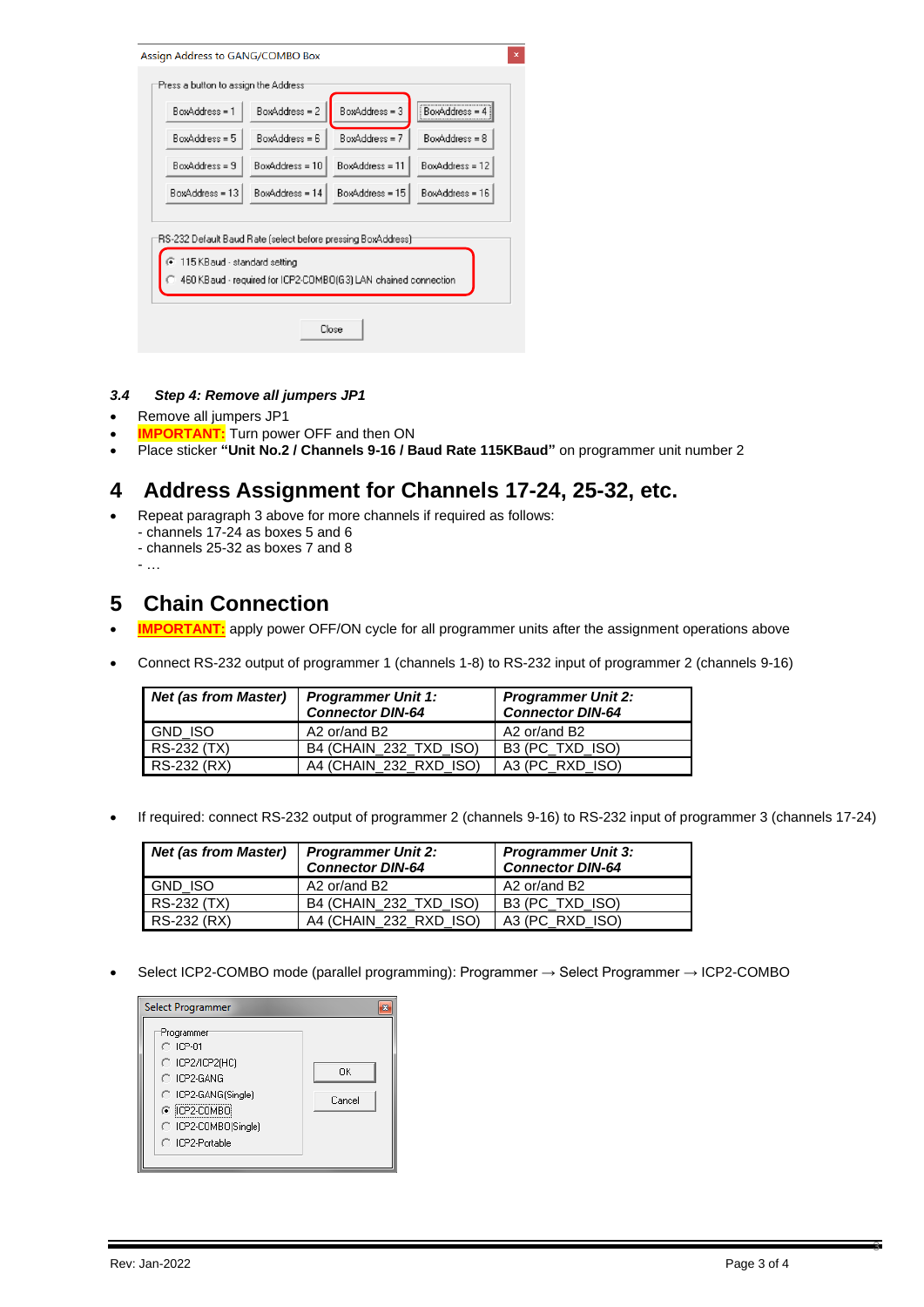| BoxAddress = 1                                                                                                                                                  | BoxAddress = 2    | BoxAddress = 3   | BoxAddress =    |  |
|-----------------------------------------------------------------------------------------------------------------------------------------------------------------|-------------------|------------------|-----------------|--|
| $BoxAddress = 5$                                                                                                                                                | $BoxAddress = 6$  | $BoxAddress = 7$ | BoxAddress = 8  |  |
| $R = z \cdot addness = 9$                                                                                                                                       | $BoxAddress = 10$ | BoxAddress = 11  | BoxAddress = 12 |  |
| BoxAddress = 13                                                                                                                                                 | BoxAddress = 14   | BoxAddress = 15  | BoxAddress = 16 |  |
| RS-232 Default Baud Rate (select before pressing BoxAddress)<br>115 KBaud - standard setting<br>460 KB aud - required for ICP2-COMBO(G3) LAN chained connection |                   |                  |                 |  |

#### *3.4 Step 4: Remove all jumpers JP1*

- Remove all jumpers JP1
- **IMPORTANT:** Turn power OFF and then ON
- Place sticker **"Unit No.2 / Channels 9-16 / Baud Rate 115KBaud"** on programmer unit number 2

## **4 Address Assignment for Channels 17-24, 25-32, etc.**

- Repeat paragraph [3](#page-0-0) above for more channels if required as follows:
	- channels 17-24 as boxes 5 and 6
	- channels 25-32 as boxes 7 and 8
	- …

### **5 Chain Connection**

- **IMPORTANT:** apply power OFF/ON cycle for all programmer units after the assignment operations above
- Connect RS-232 output of programmer 1 (channels 1-8) to RS-232 input of programmer 2 (channels 9-16)

| <b>Net (as from Master)</b> | <b>Programmer Unit 1:</b><br><b>Connector DIN-64</b> | <b>Programmer Unit 2:</b><br><b>Connector DIN-64</b> |  |
|-----------------------------|------------------------------------------------------|------------------------------------------------------|--|
| <b>GND ISO</b>              | A2 or/and B2                                         | A2 or/and B2                                         |  |
| RS-232 (TX)                 | B4 (CHAIN 232 TXD ISO)                               | B3 (PC TXD ISO)                                      |  |
| RS-232 (RX)                 | A4 (CHAIN 232 RXD ISO)                               | A3 (PC RXD ISO)                                      |  |

• If required: connect RS-232 output of programmer 2 (channels 9-16) to RS-232 input of programmer 3 (channels 17-24)

| <b>Net (as from Master)</b> | <b>Programmer Unit 2:</b><br><b>Connector DIN-64</b> | <b>Programmer Unit 3:</b><br><b>Connector DIN-64</b> |  |
|-----------------------------|------------------------------------------------------|------------------------------------------------------|--|
| <b>GND ISO</b>              | A2 or/and B2                                         | A2 or/and B2                                         |  |
| RS-232 (TX)                 | B4 (CHAIN 232 TXD ISO)                               | B3 (PC TXD ISO)                                      |  |
| RS-232 (RX)                 | A4 (CHAIN 232 RXD ISO)                               | A3 (PC RXD ISO)                                      |  |

• Select ICP2-COMBO mode (parallel programming): Programmer → Select Programmer → ICP2-COMBO



3